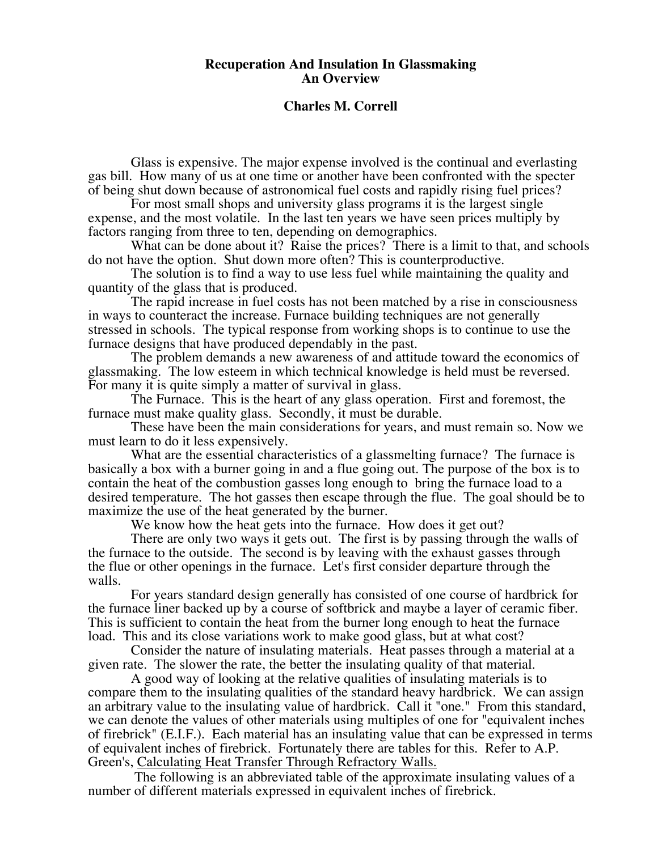## **Recuperation And Insulation In Glassmaking An Overview**

## **Charles M. Correll**

Glass is expensive. The major expense involved is the continual and everlasting gas bill. How many of us at one time or another have been confronted with the specter of being shut down because of astronomical fuel costs and rapidly rising fuel prices?

For most small shops and university glass programs it is the largest single expense, and the most volatile. In the last ten years we have seen prices multiply by factors ranging from three to ten, depending on demographics.

What can be done about it? Raise the prices? There is a limit to that, and schools do not have the option. Shut down more often? This is counterproductive.

The solution is to find a way to use less fuel while maintaining the quality and quantity of the glass that is produced.

The rapid increase in fuel costs has not been matched by a rise in consciousness in ways to counteract the increase. Furnace building techniques are not generally stressed in schools. The typical response from working shops is to continue to use the furnace designs that have produced dependably in the past.

The problem demands a new awareness of and attitude toward the economics of glassmaking. The low esteem in which technical knowledge is held must be reversed. For many it is quite simply a matter of survival in glass.

The Furnace. This is the heart of any glass operation. First and foremost, the furnace must make quality glass. Secondly, it must be durable.

These have been the main considerations for years, and must remain so. Now we must learn to do it less expensively.

What are the essential characteristics of a glassmelting furnace? The furnace is basically a box with a burner going in and a flue going out. The purpose of the box is to contain the heat of the combustion gasses long enough to bring the furnace load to a desired temperature. The hot gasses then escape through the flue. The goal should be to maximize the use of the heat generated by the burner.

We know how the heat gets into the furnace. How does it get out?

There are only two ways it gets out. The first is by passing through the walls of the furnace to the outside. The second is by leaving with the exhaust gasses through the flue or other openings in the furnace. Let's first consider departure through the walls.

For years standard design generally has consisted of one course of hardbrick for the furnace liner backed up by a course of softbrick and maybe a layer of ceramic fiber. This is sufficient to contain the heat from the burner long enough to heat the furnace load. This and its close variations work to make good glass, but at what cost?

Consider the nature of insulating materials. Heat passes through a material at a given rate. The slower the rate, the better the insulating quality of that material.

A good way of looking at the relative qualities of insulating materials is to compare them to the insulating qualities of the standard heavy hardbrick. We can assign an arbitrary value to the insulating value of hardbrick. Call it "one." From this standard, we can denote the values of other materials using multiples of one for "equivalent inches of firebrick" (E.I.F.). Each material has an insulating value that can be expressed in terms of equivalent inches of firebrick. Fortunately there are tables for this. Refer to A.P. Green's, Calculating Heat Transfer Through Refractory Walls.

The following is an abbreviated table of the approximate insulating values of a number of different materials expressed in equivalent inches of firebrick.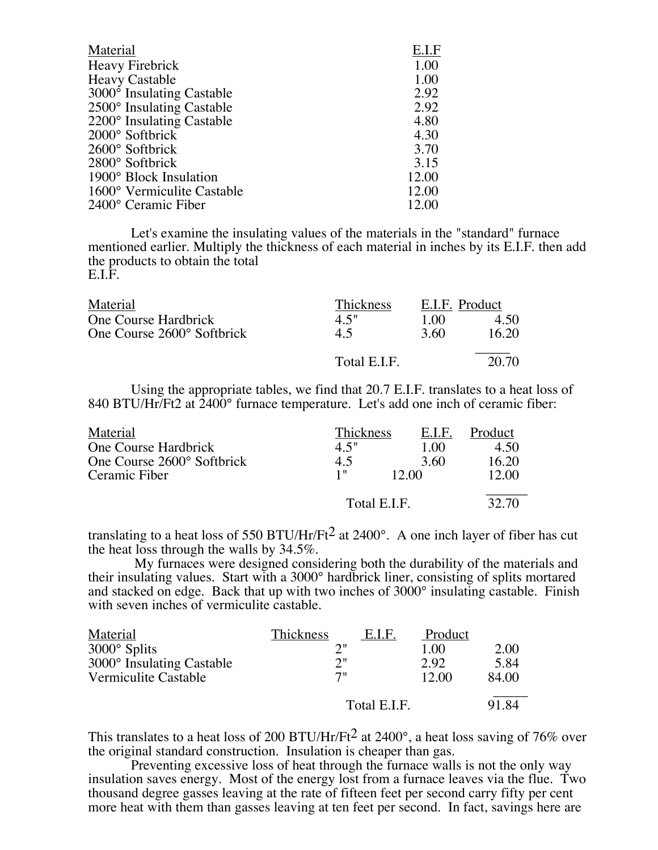| Material                   | E.I.F |
|----------------------------|-------|
| <b>Heavy Firebrick</b>     | 1.00  |
| <b>Heavy Castable</b>      | 1.00  |
| 3000° Insulating Castable  | 2.92  |
| 2500° Insulating Castable  | 2.92  |
| 2200° Insulating Castable  | 4.80  |
| 2000° Softbrick            | 4.30  |
| 2600° Softbrick            | 3.70  |
| 2800° Softbrick            | 3.15  |
| 1900° Block Insulation     | 12.00 |
| 1600° Vermiculite Castable | 12.00 |
| 2400° Ceramic Fiber        | 12.00 |
|                            |       |

Let's examine the insulating values of the materials in the "standard" furnace mentioned earlier. Multiply the thickness of each material in inches by its E.I.F. then add the products to obtain the total E.I.F.

| Material                                           | <b>Thickness</b> | E.I.F. Product |               |
|----------------------------------------------------|------------------|----------------|---------------|
| One Course Hardbrick<br>One Course 2600° Softbrick | 4.5"<br>4.5      | 100<br>3.60    | 4.50<br>16.20 |
|                                                    | Total E.I.F.     |                | 20.70         |

Using the appropriate tables, we find that 20.7 E.I.F. translates to a heat loss of 840 BTU/Hr/Ft2 at  $2400^{\circ}$  furnace temperature. Let's add one inch of ceramic fiber:

| Material                   | Thickness    | E.I.F. | Product |  |
|----------------------------|--------------|--------|---------|--|
| One Course Hardbrick       | 4.5"         | 1.00   | 4.50    |  |
| One Course 2600° Softbrick | 4.5          | 3.60   | 16.20   |  |
| Ceramic Fiber              | 1 "          | 12.00  | 12.00   |  |
|                            | Total E.I.F. |        | 32.70   |  |

translating to a heat loss of 550 BTU/Hr/Ft<sup>2</sup> at 2400 $^{\circ}$ . A one inch layer of fiber has cut the heat loss through the walls by 34.5%.

My furnaces were designed considering both the durability of the materials and their insulating values. Start with a 3000° hardbrick liner, consisting of splits mortared and stacked on edge. Back that up with two inches of 3000° insulating castable. Finish with seven inches of vermiculite castable.

| Material                  | Thickness | E.I.F.       | Product |       |
|---------------------------|-----------|--------------|---------|-------|
| 3000° Splits              | 2"        |              | 1.00    | 2.00  |
| 3000° Insulating Castable | つ‼        |              | 2.92    | 5.84  |
| Vermiculite Castable      | 7"        |              | 12.00   | 84.00 |
|                           |           | Total E.I.F. |         | 91.84 |

This translates to a heat loss of 200 BTU/Hr/Ft<sup>2</sup> at 2400 $^{\circ}$ , a heat loss saving of 76% over the original standard construction. Insulation is cheaper than gas.

Preventing excessive loss of heat through the furnace walls is not the only way insulation saves energy. Most of the energy lost from a furnace leaves via the flue. Two thousand degree gasses leaving at the rate of fifteen feet per second carry fifty per cent more heat with them than gasses leaving at ten feet per second. In fact, savings here are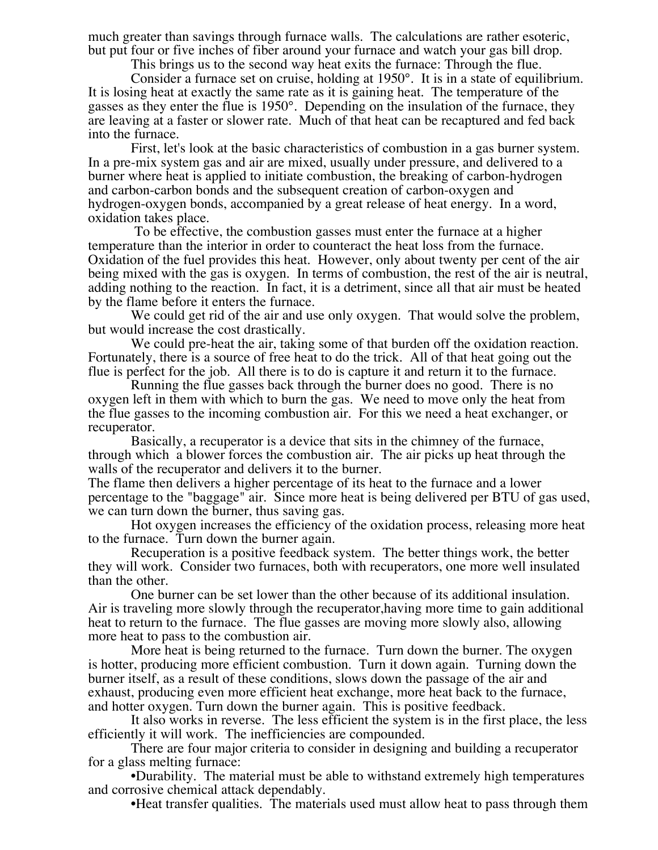much greater than savings through furnace walls. The calculations are rather esoteric, but put four or five inches of fiber around your furnace and watch your gas bill drop.

This brings us to the second way heat exits the furnace: Through the flue.

Consider a furnace set on cruise, holding at 1950°. It is in a state of equilibrium. It is losing heat at exactly the same rate as it is gaining heat. The temperature of the gasses as they enter the flue is 1950°. Depending on the insulation of the furnace, they are leaving at a faster or slower rate. Much of that heat can be recaptured and fed back into the furnace.

First, let's look at the basic characteristics of combustion in a gas burner system. In a pre-mix system gas and air are mixed, usually under pressure, and delivered to a burner where heat is applied to initiate combustion, the breaking of carbon-hydrogen and carbon-carbon bonds and the subsequent creation of carbon-oxygen and hydrogen-oxygen bonds, accompanied by a great release of heat energy. In a word, oxidation takes place.

To be effective, the combustion gasses must enter the furnace at a higher temperature than the interior in order to counteract the heat loss from the furnace. Oxidation of the fuel provides this heat. However, only about twenty per cent of the air being mixed with the gas is oxygen. In terms of combustion, the rest of the air is neutral, adding nothing to the reaction. In fact, it is a detriment, since all that air must be heated by the flame before it enters the furnace.

We could get rid of the air and use only oxygen. That would solve the problem, but would increase the cost drastically.

We could pre-heat the air, taking some of that burden off the oxidation reaction. Fortunately, there is a source of free heat to do the trick. All of that heat going out the flue is perfect for the job. All there is to do is capture it and return it to the furnace.

Running the flue gasses back through the burner does no good. There is no oxygen left in them with which to burn the gas. We need to move only the heat from the flue gasses to the incoming combustion air. For this we need a heat exchanger, or recuperator.

Basically, a recuperator is a device that sits in the chimney of the furnace, through which a blower forces the combustion air. The air picks up heat through the walls of the recuperator and delivers it to the burner.

The flame then delivers a higher percentage of its heat to the furnace and a lower percentage to the "baggage" air. Since more heat is being delivered per BTU of gas used, we can turn down the burner, thus saving gas.

Hot oxygen increases the efficiency of the oxidation process, releasing more heat to the furnace. Turn down the burner again.

Recuperation is a positive feedback system. The better things work, the better they will work. Consider two furnaces, both with recuperators, one more well insulated than the other.

One burner can be set lower than the other because of its additional insulation. Air is traveling more slowly through the recuperator,having more time to gain additional heat to return to the furnace. The flue gasses are moving more slowly also, allowing more heat to pass to the combustion air.

More heat is being returned to the furnace. Turn down the burner. The oxygen is hotter, producing more efficient combustion. Turn it down again. Turning down the burner itself, as a result of these conditions, slows down the passage of the air and exhaust, producing even more efficient heat exchange, more heat back to the furnace, and hotter oxygen. Turn down the burner again. This is positive feedback.

It also works in reverse. The less efficient the system is in the first place, the less efficiently it will work. The inefficiencies are compounded.

There are four major criteria to consider in designing and building a recuperator for a glass melting furnace:

•Durability. The material must be able to withstand extremely high temperatures and corrosive chemical attack dependably.

•Heat transfer qualities. The materials used must allow heat to pass through them